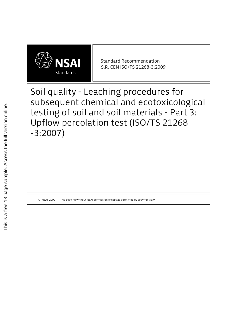

Standard Recommendation S.R. CEN ISO/TS 21268-3:2009

Soil quality - Leaching procedures for subsequent chemical and ecotoxicological testing of soil and soil materials - Part 3: Upflow percolation test (ISO/TS 21268 -3:2007)

© NSAI 2009 No copying without NSAI permission except as permitted by copyright law.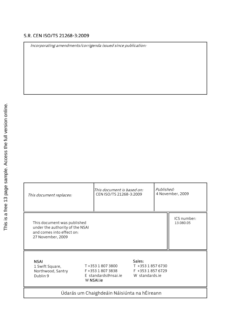## S.R. CEN ISO/TS 21268-3:2009

Incorporating amendments/corrigenda issued since publication:

| This document replaces:                                                                                          | Published:<br>This document is based on:<br>CEN ISO/TS 21268-3:2009                                                                             |  | 4 November, 2009         |  |
|------------------------------------------------------------------------------------------------------------------|-------------------------------------------------------------------------------------------------------------------------------------------------|--|--------------------------|--|
| This document was published<br>under the authority of the NSAI<br>and comes into effect on:<br>27 November, 2009 |                                                                                                                                                 |  | ICS number:<br>13.080.05 |  |
| <b>NSAI</b><br>1 Swift Square,<br>Northwood, Santry<br>Dublin 9                                                  | Sales:<br>T +353 1 807 3800<br>T +353 1 857 6730<br>F +353 1 807 3838<br>F +353 1 857 6729<br>E standards@nsai.je<br>W standards.je<br>W NSALie |  |                          |  |
| Údarás um Chaighdeáin Náisiúnta na hÉireann                                                                      |                                                                                                                                                 |  |                          |  |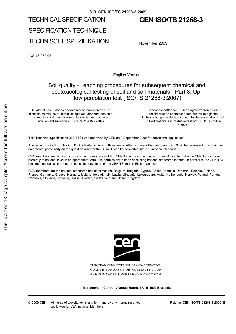# TECHNICAL SPECIFICATION SPÉCIFICATION TECHNIQUE TECHNISCHE SPEZIFIKATION

# **CEN ISO/TS 21268-3**

November 2009

ICS 13.080.05

English Version

## Soil quality - Leaching procedures for subsequent chemical and ecotoxicological testing of soil and soil materials - Part 3: Upflow percolation test (ISO/TS 21268-3:2007)

Qualité du sol - Modes opératoires de lixiviation en vue d'essais chimiques et écotoxicologiques ultérieurs des sols et matériaux du sol - Partie 3: Essai de percolation à écoulement ascendant (ISO/TS 21268-3:2007)

Bodenbeschaffenheit - Eluierungsverfahren für die anschließende chemische und ökotoxikologische Untersuchung von Boden und von Bodenmaterialien - Teil 3: Perkolationstest im Aufwärtsstrom (ISO/TS 21268- 3:2007)

This Technical Specification (CEN/TS) was approved by CEN on 8 September 2009 for provisional application.

The period of validity of this CEN/TS is limited initially to three years. After two years the members of CEN will be requested to submit their comments, particularly on the question whether the CEN/TS can be converted into a European Standard.

CEN members are required to announce the existence of this CEN/TS in the same way as for an EN and to make the CEN/TS available promptly at national level in an appropriate form. It is permissible to keep conflicting national standards in force (in parallel to the CEN/TS) until the final decision about the possible conversion of the CEN/TS into an EN is reached.

CEN members are the national standards bodies of Austria, Belgium, Bulgaria, Cyprus, Czech Republic, Denmark, Estonia, Finland, France, Germany, Greece, Hungary, Iceland, Ireland, Italy, Latvia, Lithuania, Luxembourg, Malta, Netherlands, Norway, Poland, Portugal, Romania, Slovakia, Slovenia, Spain, Sweden, Switzerland and United Kingdom.



EUROPEAN COMMITTEE FOR STANDARDIZATION COMITÉ EUROPÉEN DE NORMALISATION EUROPÄISCHES KOMITEE FÜR NORMUNG

**Management Centre: Avenue Marnix 17, B-1000 Brussels** 

© 2009 CEN All rights of exploitation in any form and by any means reserved worldwide for CEN national Members.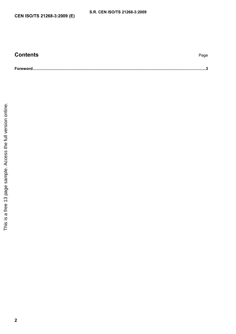# **Contents** Page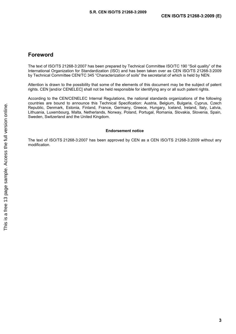## **Foreword**

The text of ISO/TS 21268-3:2007 has been prepared by Technical Committee ISO/TC 190 "Soil quality" of the International Organization for Standardization (ISO) and has been taken over as CEN ISO/TS 21268-3:2009 by Technical Committee CEN/TC 345 "Characterization of soils" the secretariat of which is held by NEN.

Attention is drawn to the possibility that some of the elements of this document may be the subject of patent rights. CEN [and/or CENELEC] shall not be held responsible for identifying any or all such patent rights.

According to the CEN/CENELEC Internal Regulations, the national standards organizations of the following countries are bound to announce this Technical Specification: Austria, Belgium, Bulgaria, Cyprus, Czech Republic, Denmark, Estonia, Finland, France, Germany, Greece, Hungary, Iceland, Ireland, Italy, Latvia, Lithuania, Luxembourg, Malta, Netherlands, Norway, Poland, Portugal, Romania, Slovakia, Slovenia, Spain, Sweden, Switzerland and the United Kingdom.

#### **Endorsement notice**

The text of ISO/TS 21268-3:2007 has been approved by CEN as a CEN ISO/TS 21268-3:2009 without any modification.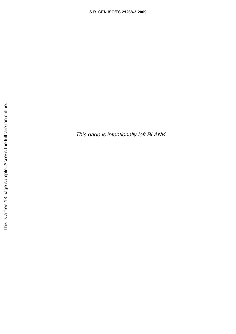This page is intentionally left BLANK.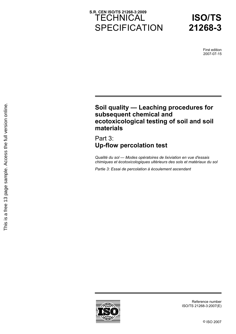# **TECHNICAL SPECIFICATION S.R. CEN ISO/TS 21268-3:2009**

# **ISO/TS 21268-3**

First edition 2007-07-15

# **Soil quality — Leaching procedures for subsequent chemical and ecotoxicological testing of soil and soil materials**

Part 3: **Up-flow percolation test** 

*Qualité du sol — Modes opératoires de lixiviation en vue d'essais chimiques et écotoxicologiques ultérieurs des sols et matériaux du sol* 

*Partie 3: Essai de percolation à écoulement ascendant* 



Reference number ISO/TS 21268-3:2007(E)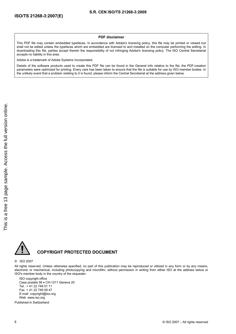#### **PDF disclaimer**

This PDF file may contain embedded typefaces. In accordance with Adobe's licensing policy, this file may be printed or viewed but shall not be edited unless the typefaces which are embedded are licensed to and installed on the computer performing the editing. In downloading this file, parties accept therein the responsibility of not infringing Adobe's licensing policy. The ISO Central Secretariat accepts no liability in this area.

Adobe is a trademark of Adobe Systems Incorporated.

Details of the software products used to create this PDF file can be found in the General Info relative to the file; the PDF-creation parameters were optimized for printing. Every care has been taken to ensure that the file is suitable for use by ISO member bodies. In the unlikely event that a problem relating to it is found, please inform the Central Secretariat at the address given below.



© ISO 2007

All rights reserved. Unless otherwise specified, no part of this publication may be reproduced or utilized in any form or by any means, electronic or mechanical, including photocopying and microfilm, without permission in writing from either ISO at the address below or ISO's member body in the country of the requester.

ISO copyright office Case postale 56 • CH-1211 Geneva 20 Tel. + 41 22 749 01 11 Fax + 41 22 749 09 47 E-mail copyright@iso.org Web www.iso.org

Published in Switzerland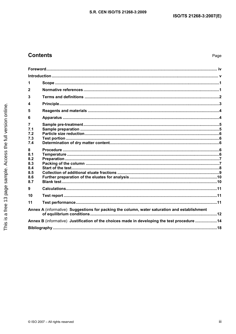## **Contents**

| 1                                                                                            |  |
|----------------------------------------------------------------------------------------------|--|
| 2                                                                                            |  |
| 3                                                                                            |  |
| 4                                                                                            |  |
| 5                                                                                            |  |
| 6                                                                                            |  |
| 7                                                                                            |  |
| 7.1                                                                                          |  |
| 7.2                                                                                          |  |
| 7.3                                                                                          |  |
| 7.4                                                                                          |  |
|                                                                                              |  |
| 8                                                                                            |  |
| 8.1                                                                                          |  |
| 8.2                                                                                          |  |
| 8.3                                                                                          |  |
| 8.4                                                                                          |  |
| 8.5                                                                                          |  |
| 8.6                                                                                          |  |
|                                                                                              |  |
| 8.7                                                                                          |  |
| 9                                                                                            |  |
| 10                                                                                           |  |
| 11                                                                                           |  |
| Annex A (informative) Suggestions for packing the column, water saturation and establishment |  |
| Annex B (informative) Justification of the choices made in developing the test procedure 14  |  |
|                                                                                              |  |
|                                                                                              |  |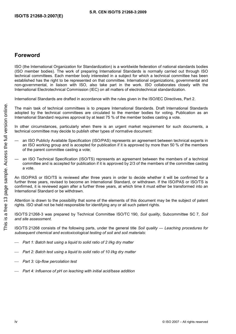## **Foreword**

ISO (the International Organization for Standardization) is a worldwide federation of national standards bodies (ISO member bodies). The work of preparing International Standards is normally carried out through ISO technical committees. Each member body interested in a subject for which a technical committee has been established has the right to be represented on that committee. International organizations, governmental and non-governmental, in liaison with ISO, also take part in the work. ISO collaborates closely with the International Electrotechnical Commission (IEC) on all matters of electrotechnical standardization.

International Standards are drafted in accordance with the rules given in the ISO/IEC Directives, Part 2.

The main task of technical committees is to prepare International Standards. Draft International Standards adopted by the technical committees are circulated to the member bodies for voting. Publication as an International Standard requires approval by at least 75 % of the member bodies casting a vote.

In other circumstances, particularly when there is an urgent market requirement for such documents, a technical committee may decide to publish other types of normative document:

- an ISO Publicly Available Specification (ISO/PAS) represents an agreement between technical experts in an ISO working group and is accepted for publication if it is approved by more than 50 % of the members of the parent committee casting a vote;
- an ISO Technical Specification (ISO/TS) represents an agreement between the members of a technical committee and is accepted for publication if it is approved by 2/3 of the members of the committee casting a vote.

An ISO/PAS or ISO/TS is reviewed after three years in order to decide whether it will be confirmed for a further three years, revised to become an International Standard, or withdrawn. If the ISO/PAS or ISO/TS is confirmed, it is reviewed again after a further three years, at which time it must either be transformed into an International Standard or be withdrawn.

Attention is drawn to the possibility that some of the elements of this document may be the subject of patent rights. ISO shall not be held responsible for identifying any or all such patent rights.

ISO/TS 21268-3 was prepared by Technical Committee ISO/TC 190, *Soil quality*, Subcommittee SC 7, *Soil and site assessment*.

ISO/TS 21268 consists of the following parts, under the general title *Soil quality — Leaching procedures for subsequent chemical and ecotoxicological testing of soil and soil materials*:

- Part 1: Batch test using a liquid to solid ratio of 2 *l/kg dry matter*
- Part 2: Batch test using a liquid to solid ratio of 10 I/kg dry matter
- ⎯ *Part 3: Up-flow percolation test*
- Part 4: Influence of pH on leaching with initial acid/base addition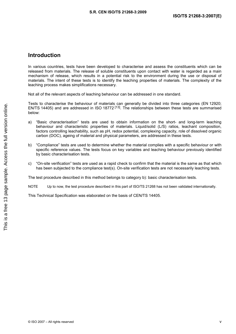## **Introduction**

In various countries, tests have been developed to characterise and assess the constituents which can be released from materials. The release of soluble constituents upon contact with water is regarded as a main mechanism of release, which results in a potential risk to the environment during the use or disposal of materials. The intent of these tests is to identify the leaching properties of materials. The complexity of the leaching process makes simplifications necessary.

Not all of the relevant aspects of leaching behaviour can be addressed in one standard.

Tests to characterise the behaviour of materials can generally be divided into three categories (EN 12920; EN/TS 14405) and are addressed in ISO 18772 [13]. The relationships between these tests are summarised below:

- a) "Basic characterisation" tests are used to obtain information on the short- and long-term leaching behaviour and characteristic properties of materials. Liquid/solid (L/S) ratios, leachant composition, factors controlling leachability, such as pH, redox potential, complexing capacity, role of dissolved organic carbon (DOC), ageing of material and physical parameters, are addressed in these tests.
- b) "Compliance" tests are used to determine whether the material complies with a specific behaviour or with specific reference values. The tests focus on key variables and leaching behaviour previously identified by basic characterisation tests.
- c) "On-site verification" tests are used as a rapid check to confirm that the material is the same as that which has been subjected to the compliance test(s). On-site verification tests are not necessarily leaching tests.

The test procedure described in this method belongs to category b): basic characterisation tests.

NOTE Up to now, the test procedure described in this part of ISO/TS 21268 has not been validated internationally.

This Technical Specification was elaborated on the basis of CEN/TS 14405.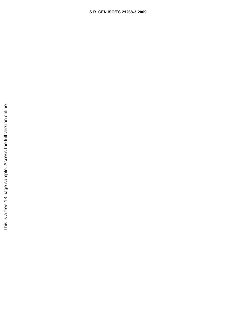**S.R. CEN ISO/TS 21268-3:2009**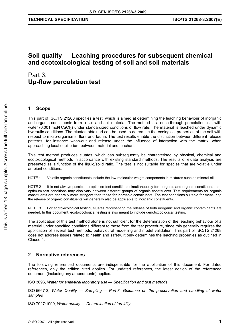## **Soil quality — Leaching procedures for subsequent chemical and ecotoxicological testing of soil and soil materials**

## Part 3: **Up-flow percolation test**

### **1 Scope**

This part of ISO/TS 21268 specifies a test, which is aimed at determining the leaching behaviour of inorganic and organic constituents from a soil and soil material. The method is a once-through percolation test with water (0,001 mol/l CaCl<sub>2</sub>) under standardized conditions of flow rate. The material is leached under dynamic hydraulic conditions. The eluates obtained can be used to determine the ecological properties of the soil with respect to micro-organisms, flora and fauna. The test results enable the distinction between different release patterns, for instance wash-out and release under the influence of interaction with the matrix, when approaching local equilibrium between material and leachant.

This test method produces eluates, which can subsequently be characterised by physical, chemical and ecotoxicological methods in accordance with existing standard methods. The results of eluate analysis are presented as a function of the liquid/solid ratio. The test is not suitable for species that are volatile under ambient conditions.

NOTE 1 Volatile organic constituents include the low-molecular-weight components in mixtures such as mineral oil.

NOTE 2 It is not always possible to optimise test conditions simultaneously for inorganic and organic constituents and optimum test conditions may also vary between different groups of organic constituents. Test requirements for organic constituents are generally more stringent than those for inorganic constituents. The test conditions suitable for measuring the release of organic constituents will generally also be applicable to inorganic constituents.

NOTE 3 For ecotoxicological testing, eluates representing the release of both inorganic and organic contaminants are needed. In this document, ecotoxicological testing is also meant to include genotoxicological testing.

The application of this test method alone is not sufficient for the determination of the leaching behaviour of a material under specified conditions different to those from the test procedure, since this generally requires the application of several test methods, behavioural modelling and model validation. This part of ISO/TS 21268 does not address issues related to health and safety. It only determines the leaching properties as outlined in Clause 4.

### **2 Normative references**

The following referenced documents are indispensable for the application of this document. For dated references, only the edition cited applies. For undated references, the latest edition of the referenced document (including any amendments) applies.

ISO 3696, *Water for analytical laboratory use — Specification and test methods*

ISO 5667-3, *Water Quality — Sampling — Part 3: Guidance on the preservation and handling of water samples*

ISO 7027:1999, *Water quality — Determination of turbidity*